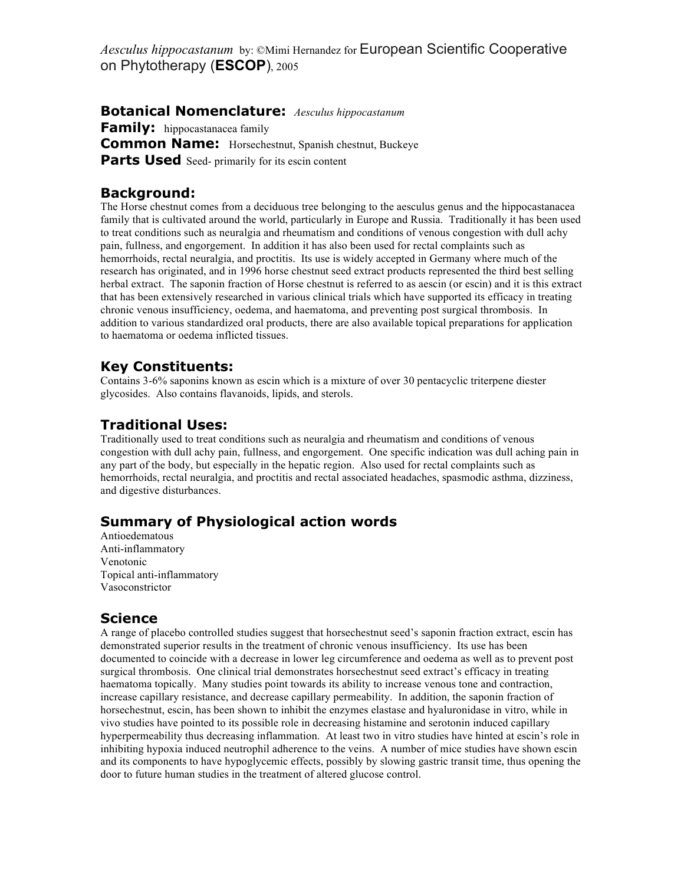*Aesculus hippocastanum* by: ©Mimi Hernandez for European Scientific Cooperative on Phytotherapy (**ESCOP**), 2005

**Botanical Nomenclature:** *Aesculus hippocastanum*  **Family:** hippocastanacea family **Common Name:** Horsechestnut, Spanish chestnut, Buckeye **Parts Used** Seed- primarily for its escin content

# **Background:**

The Horse chestnut comes from a deciduous tree belonging to the aesculus genus and the hippocastanacea family that is cultivated around the world, particularly in Europe and Russia. Traditionally it has been used to treat conditions such as neuralgia and rheumatism and conditions of venous congestion with dull achy pain, fullness, and engorgement. In addition it has also been used for rectal complaints such as hemorrhoids, rectal neuralgia, and proctitis. Its use is widely accepted in Germany where much of the research has originated, and in 1996 horse chestnut seed extract products represented the third best selling herbal extract. The saponin fraction of Horse chestnut is referred to as aescin (or escin) and it is this extract that has been extensively researched in various clinical trials which have supported its efficacy in treating chronic venous insufficiency, oedema, and haematoma, and preventing post surgical thrombosis. In addition to various standardized oral products, there are also available topical preparations for application to haematoma or oedema inflicted tissues.

# **Key Constituents:**

Contains 3-6% saponins known as escin which is a mixture of over 30 pentacyclic triterpene diester glycosides. Also contains flavanoids, lipids, and sterols.

### **Traditional Uses:**

Traditionally used to treat conditions such as neuralgia and rheumatism and conditions of venous congestion with dull achy pain, fullness, and engorgement. One specific indication was dull aching pain in any part of the body, but especially in the hepatic region. Also used for rectal complaints such as hemorrhoids, rectal neuralgia, and proctitis and rectal associated headaches, spasmodic asthma, dizziness, and digestive disturbances.

# **Summary of Physiological action words**

Antioedematous Anti-inflammatory Venotonic Topical anti-inflammatory Vasoconstrictor

### **Science**

A range of placebo controlled studies suggest that horsechestnut seed's saponin fraction extract, escin has demonstrated superior results in the treatment of chronic venous insufficiency. Its use has been documented to coincide with a decrease in lower leg circumference and oedema as well as to prevent post surgical thrombosis. One clinical trial demonstrates horsechestnut seed extract's efficacy in treating haematoma topically. Many studies point towards its ability to increase venous tone and contraction, increase capillary resistance, and decrease capillary permeability. In addition, the saponin fraction of horsechestnut, escin, has been shown to inhibit the enzymes elastase and hyaluronidase in vitro, while in vivo studies have pointed to its possible role in decreasing histamine and serotonin induced capillary hyperpermeability thus decreasing inflammation. At least two in vitro studies have hinted at escin's role in inhibiting hypoxia induced neutrophil adherence to the veins. A number of mice studies have shown escin and its components to have hypoglycemic effects, possibly by slowing gastric transit time, thus opening the door to future human studies in the treatment of altered glucose control.